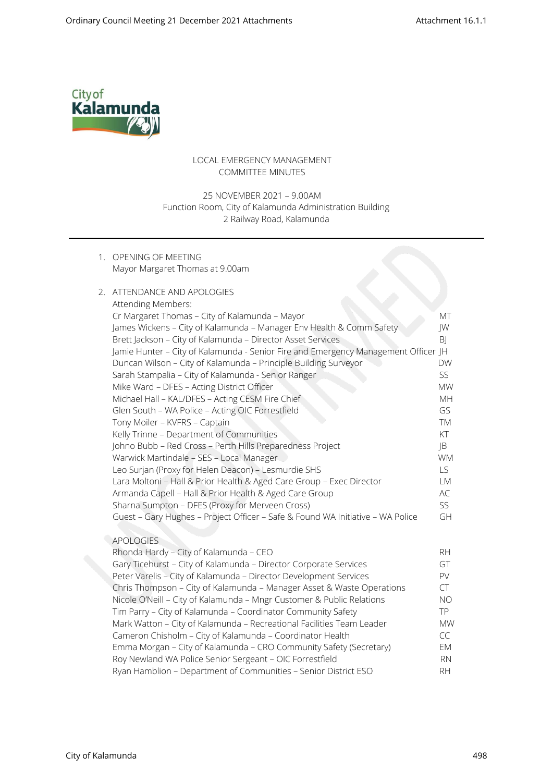

## LOCAL EMERGENCY MANAGEMENT COMMITTEE MINUTES

## 25 NOVEMBER 2021 – 9.00AM Function Room, City of Kalamunda Administration Building 2 Railway Road, Kalamunda

1. OPENING OF MEETING Mayor Margaret Thomas at 9.00am

## 2. ATTENDANCE AND APOLOGIES

| Attending Members:                                                                 |                        |  |
|------------------------------------------------------------------------------------|------------------------|--|
| Cr Margaret Thomas - City of Kalamunda - Mayor                                     | МT                     |  |
| James Wickens - City of Kalamunda - Manager Env Health & Comm Safety               | JW                     |  |
| Brett Jackson - City of Kalamunda - Director Asset Services                        | BJ                     |  |
| Jamie Hunter - City of Kalamunda - Senior Fire and Emergency Management Officer JH |                        |  |
| Duncan Wilson - City of Kalamunda - Principle Building Surveyor                    | <b>DW</b>              |  |
| Sarah Stampalia - City of Kalamunda - Senior Ranger                                | SS                     |  |
| Mike Ward - DFES - Acting District Officer                                         | <b>MW</b>              |  |
| Michael Hall - KAL/DFES - Acting CESM Fire Chief                                   | МH                     |  |
| Glen South - WA Police - Acting OIC Forrestfield                                   | GS                     |  |
| Tony Moiler - KVFRS - Captain                                                      | TM                     |  |
| Kelly Trinne - Department of Communities                                           | KT                     |  |
| Johno Bubb - Red Cross - Perth Hills Preparedness Project                          | JB                     |  |
| Warwick Martindale - SES - Local Manager                                           | <b>WM</b>              |  |
| Leo Surjan (Proxy for Helen Deacon) - Lesmurdie SHS                                | LS.                    |  |
| Lara Moltoni - Hall & Prior Health & Aged Care Group - Exec Director               | LM                     |  |
| Armanda Capell - Hall & Prior Health & Aged Care Group                             | AC                     |  |
| Sharna Sumpton - DFES (Proxy for Merveen Cross)                                    | SS                     |  |
| Guest - Gary Hughes - Project Officer - Safe & Found WA Initiative - WA Police     | GH                     |  |
|                                                                                    |                        |  |
| <b>APOLOGIES</b>                                                                   |                        |  |
| Rhonda Hardy - City of Kalamunda - CEO                                             | <b>RH</b>              |  |
| Gary Ticehurst - City of Kalamunda - Director Corporate Services                   | GT                     |  |
| Peter Varelis - City of Kalamunda - Director Development Services                  | PV                     |  |
| Chris Thompson - City of Kalamunda - Manager Asset & Waste Operations              | CT                     |  |
| Nicole O'Neill - City of Kalamunda - Mngr Customer & Public Relations              | <b>NO</b>              |  |
| Tim Parry - City of Kalamunda - Coordinator Community Safety                       | <b>TP</b>              |  |
| Mark Watton - City of Kalamunda - Recreational Facilities Team Leader              | <b>MW</b><br><b>CC</b> |  |
| Cameron Chisholm - City of Kalamunda - Coordinator Health                          |                        |  |
| Emma Morgan - City of Kalamunda - CRO Community Safety (Secretary)                 | EM                     |  |
| Roy Newland WA Police Senior Sergeant - OIC Forrestfield<br><b>RN</b>              |                        |  |

Ryan Hamblion – Department of Communities – Senior District ESO RH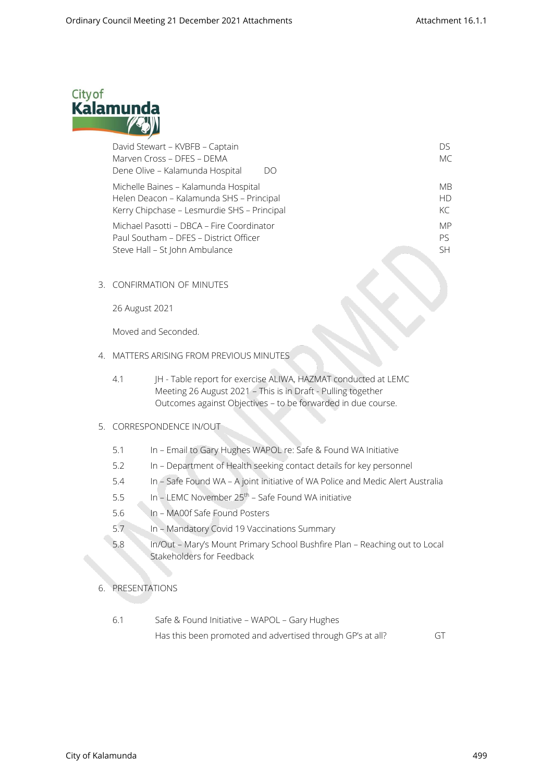

| David Stewart - KVBFB - Captain             | Dς        |
|---------------------------------------------|-----------|
| Marven Cross - DFES - DEMA                  | MC        |
| Dene Olive – Kalamunda Hospital<br>DO       |           |
| Michelle Baines - Kalamunda Hospital        | МB        |
| Helen Deacon - Kalamunda SHS - Principal    | HD.       |
| Kerry Chipchase - Lesmurdie SHS - Principal | KC        |
| Michael Pasotti – DBCA – Fire Coordinator   | <b>MP</b> |
| Paul Southam - DFES - District Officer      | Pς        |
| Steve Hall - St John Ambulance              | SH.       |
|                                             |           |

3. CONFIRMATION OF MINUTES

26 August 2021

Moved and Seconded.

- 4. MATTERS ARISING FROM PREVIOUS MINUTES
	- 4.1 JH Table report for exercise ALIWA, HAZMAT conducted at LEMC Meeting 26 August 2021 – This is in Draft - Pulling together Outcomes against Objectives – to be forwarded in due course.

### 5. CORRESPONDENCE IN/OUT

- 5.1 In Email to Gary Hughes WAPOL re: Safe & Found WA Initiative
- 5.2 In Department of Health seeking contact details for key personnel
- 5.4 In Safe Found WA A joint initiative of WA Police and Medic Alert Australia
- 5.5 In LEMC November 25th Safe Found WA initiative
- 5.6 In MA00f Safe Found Posters
- 5.7 In Mandatory Covid 19 Vaccinations Summary
- 5.8 In/Out Mary's Mount Primary School Bushfire Plan Reaching out to Local Stakeholders for Feedback
- 6. PRESENTATIONS
	- 6.1 Safe & Found Initiative WAPOL Gary Hughes Has this been promoted and advertised through GP's at all? GT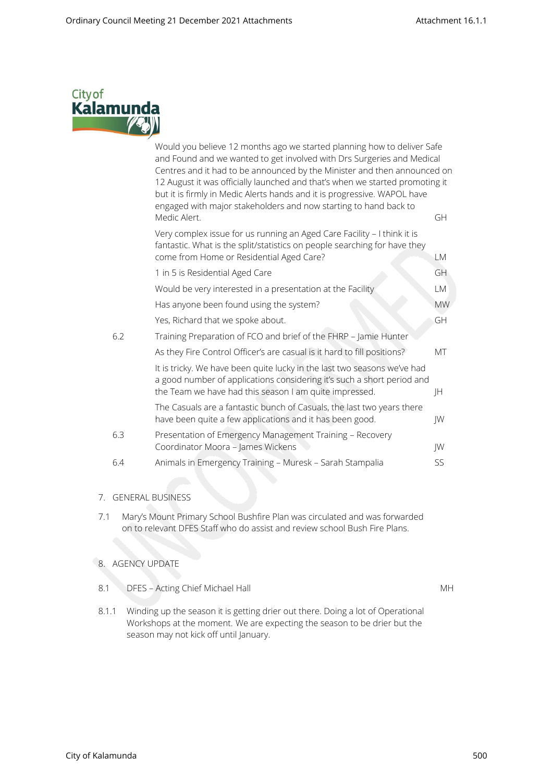

|     | Would you believe 12 months ago we started planning how to deliver Safe<br>and Found and we wanted to get involved with Drs Surgeries and Medical<br>Centres and it had to be announced by the Minister and then announced on<br>12 August it was officially launched and that's when we started promoting it<br>but it is firmly in Medic Alerts hands and it is progressive. WAPOL have<br>engaged with major stakeholders and now starting to hand back to |           |
|-----|---------------------------------------------------------------------------------------------------------------------------------------------------------------------------------------------------------------------------------------------------------------------------------------------------------------------------------------------------------------------------------------------------------------------------------------------------------------|-----------|
|     | Medic Alert.                                                                                                                                                                                                                                                                                                                                                                                                                                                  | GH        |
|     | Very complex issue for us running an Aged Care Facility - I think it is<br>fantastic. What is the split/statistics on people searching for have they<br>come from Home or Residential Aged Care?                                                                                                                                                                                                                                                              | LM        |
|     | 1 in 5 is Residential Aged Care                                                                                                                                                                                                                                                                                                                                                                                                                               | GH        |
|     | Would be very interested in a presentation at the Facility                                                                                                                                                                                                                                                                                                                                                                                                    | LM        |
|     | Has anyone been found using the system?                                                                                                                                                                                                                                                                                                                                                                                                                       | <b>MW</b> |
|     | Yes, Richard that we spoke about.                                                                                                                                                                                                                                                                                                                                                                                                                             | GH        |
| 6.2 | Training Preparation of FCO and brief of the FHRP - Jamie Hunter                                                                                                                                                                                                                                                                                                                                                                                              |           |
|     | As they Fire Control Officer's are casual is it hard to fill positions?                                                                                                                                                                                                                                                                                                                                                                                       | MT        |
|     | It is tricky. We have been quite lucky in the last two seasons we've had<br>a good number of applications considering it's such a short period and<br>the Team we have had this season I am quite impressed.                                                                                                                                                                                                                                                  | JH        |
|     | The Casuals are a fantastic bunch of Casuals, the last two years there<br>have been quite a few applications and it has been good.                                                                                                                                                                                                                                                                                                                            | JW        |
| 6.3 | Presentation of Emergency Management Training - Recovery<br>Coordinator Moora - James Wickens                                                                                                                                                                                                                                                                                                                                                                 | JW        |
| 6.4 | Animals in Emergency Training - Muresk - Sarah Stampalia                                                                                                                                                                                                                                                                                                                                                                                                      | SS        |
|     |                                                                                                                                                                                                                                                                                                                                                                                                                                                               |           |

# 7. GENERAL BUSINESS

7.1 Mary's Mount Primary School Bushfire Plan was circulated and was forwarded on to relevant DFES Staff who do assist and review school Bush Fire Plans.

# 8. AGENCY UPDATE

8.1 DFES – Acting Chief Michael Hall MH

8.1.1 Winding up the season it is getting drier out there. Doing a lot of Operational Workshops at the moment. We are expecting the season to be drier but the season may not kick off until January.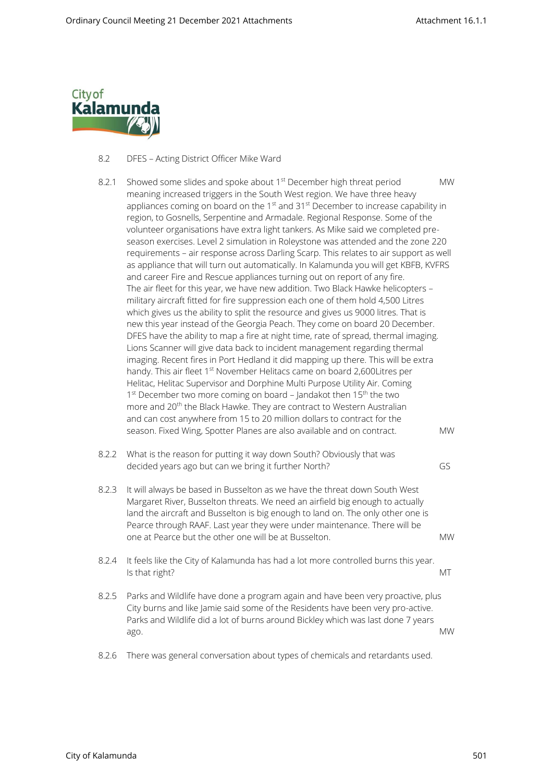

## 8.2 DFES – Acting District Officer Mike Ward

- 8.2.1 Showed some slides and spoke about  $1<sup>st</sup>$  December high threat period MW meaning increased triggers in the South West region. We have three heavy appliances coming on board on the  $1<sup>st</sup>$  and  $31<sup>st</sup>$  December to increase capability in region, to Gosnells, Serpentine and Armadale. Regional Response. Some of the volunteer organisations have extra light tankers. As Mike said we completed preseason exercises. Level 2 simulation in Roleystone was attended and the zone 220 requirements – air response across Darling Scarp. This relates to air support as well as appliance that will turn out automatically. In Kalamunda you will get KBFB, KVFRS and career Fire and Rescue appliances turning out on report of any fire. The air fleet for this year, we have new addition. Two Black Hawke helicopters – military aircraft fitted for fire suppression each one of them hold 4,500 Litres which gives us the ability to split the resource and gives us 9000 litres. That is new this year instead of the Georgia Peach. They come on board 20 December. DFES have the ability to map a fire at night time, rate of spread, thermal imaging. Lions Scanner will give data back to incident management regarding thermal imaging. Recent fires in Port Hedland it did mapping up there. This will be extra handy. This air fleet 1<sup>st</sup> November Helitacs came on board 2,600Litres per Helitac, Helitac Supervisor and Dorphine Multi Purpose Utility Air. Coming 1<sup>st</sup> December two more coming on board - Jandakot then 15<sup>th</sup> the two more and 20<sup>th</sup> the Black Hawke. They are contract to Western Australian and can cost anywhere from 15 to 20 million dollars to contract for the season. Fixed Wing, Spotter Planes are also available and on contract. MW 8.2.2 What is the reason for putting it way down South? Obviously that was decided years ago but can we bring it further North? GS 8.2.3 It will always be based in Busselton as we have the threat down South West Margaret River, Busselton threats. We need an airfield big enough to actually land the aircraft and Busselton is big enough to land on. The only other one is Pearce through RAAF. Last year they were under maintenance. There will be one at Pearce but the other one will be at Busselton. MW 8.2.4 It feels like the City of Kalamunda has had a lot more controlled burns this year. Is that right? MT and the control of the control of the control of the control of the control of the control of the control of the control of the control of the control of the control of the control of the control of the c
- 8.2.5 Parks and Wildlife have done a program again and have been very proactive, plus City burns and like Jamie said some of the Residents have been very pro-active. Parks and Wildlife did a lot of burns around Bickley which was last done 7 years ago. MW
- 8.2.6 There was general conversation about types of chemicals and retardants used.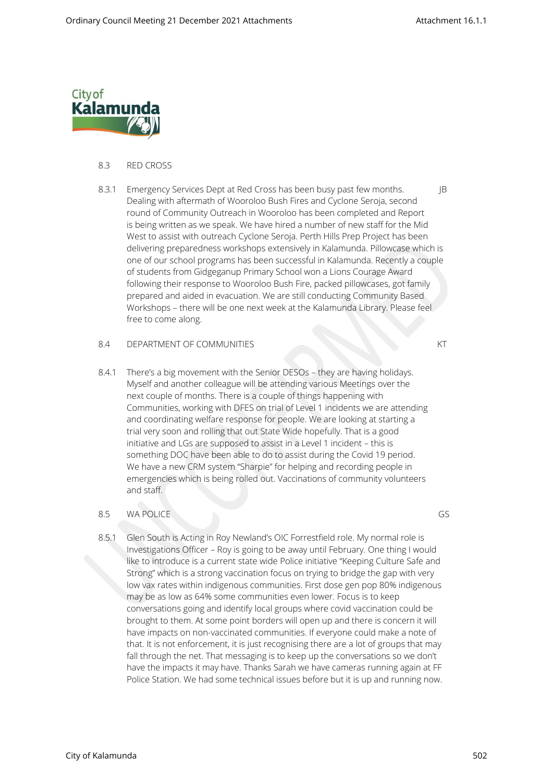

### 8.3 RED CROSS

8.3.1 Emergency Services Dept at Red Cross has been busy past few months.  $\qquad \qquad \qquad$  IB Dealing with aftermath of Wooroloo Bush Fires and Cyclone Seroja, second round of Community Outreach in Wooroloo has been completed and Report is being written as we speak. We have hired a number of new staff for the Mid West to assist with outreach Cyclone Seroja. Perth Hills Prep Project has been delivering preparedness workshops extensively in Kalamunda. Pillowcase which is one of our school programs has been successful in Kalamunda. Recently a couple of students from Gidgeganup Primary School won a Lions Courage Award following their response to Wooroloo Bush Fire, packed pillowcases, got family prepared and aided in evacuation. We are still conducting Community Based Workshops – there will be one next week at the Kalamunda Library. Please feel free to come along.

#### 8.4 DEPARTMENT OF COMMUNITIES KT

8.4.1 There's a big movement with the Senior DESOs – they are having holidays. Myself and another colleague will be attending various Meetings over the next couple of months. There is a couple of things happening with Communities, working with DFES on trial of Level 1 incidents we are attending and coordinating welfare response for people. We are looking at starting a trial very soon and rolling that out State Wide hopefully. That is a good initiative and LGs are supposed to assist in a Level 1 incident – this is something DOC have been able to do to assist during the Covid 19 period. We have a new CRM system "Sharpie" for helping and recording people in emergencies which is being rolled out. Vaccinations of community volunteers and staff.

# 8.5 WA POLICE GS

8.5.1 Glen South is Acting in Roy Newland's OIC Forrestfield role. My normal role is Investigations Officer – Roy is going to be away until February. One thing I would like to introduce is a current state wide Police initiative "Keeping Culture Safe and Strong" which is a strong vaccination focus on trying to bridge the gap with very low vax rates within indigenous communities. First dose gen pop 80% indigenous may be as low as 64% some communities even lower. Focus is to keep conversations going and identify local groups where covid vaccination could be brought to them. At some point borders will open up and there is concern it will have impacts on non-vaccinated communities. If everyone could make a note of that. It is not enforcement, it is just recognising there are a lot of groups that may fall through the net. That messaging is to keep up the conversations so we don't have the impacts it may have. Thanks Sarah we have cameras running again at FF Police Station. We had some technical issues before but it is up and running now.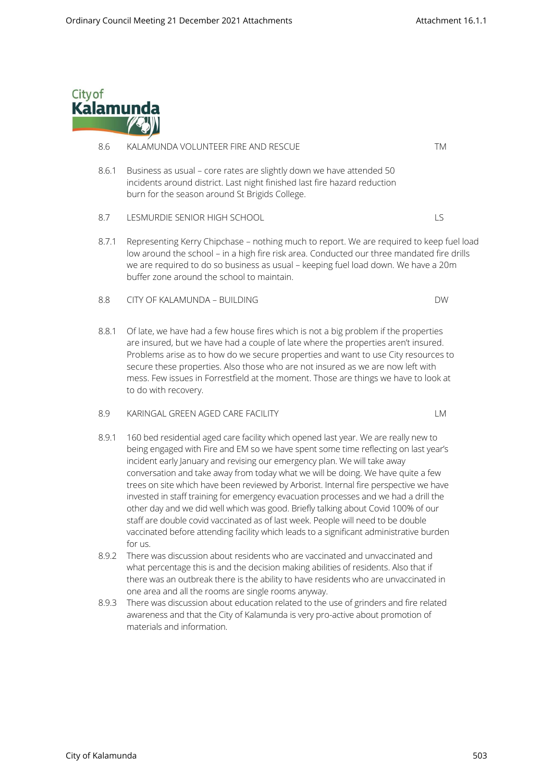

# 8.6 KALAMUNDA VOLUNTEER FIRE AND RESCUE TM 8.6.1 Business as usual – core rates are slightly down we have attended 50 incidents around district. Last night finished last fire hazard reduction burn for the season around St Brigids College. 8.7 LESMURDIE SENIOR HIGH SCHOOL LEGENION AND LES 8.7.1 Representing Kerry Chipchase – nothing much to report. We are required to keep fuel load

- low around the school in a high fire risk area. Conducted our three mandated fire drills we are required to do so business as usual – keeping fuel load down. We have a 20m buffer zone around the school to maintain.
- 8.8 CITY OF KALAMUNDA BUILDING DW
- 8.8.1 Of late, we have had a few house fires which is not a big problem if the properties are insured, but we have had a couple of late where the properties aren't insured. Problems arise as to how do we secure properties and want to use City resources to secure these properties. Also those who are not insured as we are now left with mess. Few issues in Forrestfield at the moment. Those are things we have to look at to do with recovery.
- 8.9 KARINGAL GREEN AGED CARE FACILITY LAND AND THE MANUSCRIPT OF THE MANUSCRIPT OF LAND AND THE MANUSCRIPT OF LA
- 8.9.1 160 bed residential aged care facility which opened last year. We are really new to being engaged with Fire and EM so we have spent some time reflecting on last year's incident early January and revising our emergency plan. We will take away conversation and take away from today what we will be doing. We have quite a few trees on site which have been reviewed by Arborist. Internal fire perspective we have invested in staff training for emergency evacuation processes and we had a drill the other day and we did well which was good. Briefly talking about Covid 100% of our staff are double covid vaccinated as of last week. People will need to be double vaccinated before attending facility which leads to a significant administrative burden for us.
- 8.9.2 There was discussion about residents who are vaccinated and unvaccinated and what percentage this is and the decision making abilities of residents. Also that if there was an outbreak there is the ability to have residents who are unvaccinated in one area and all the rooms are single rooms anyway.
- 8.9.3 There was discussion about education related to the use of grinders and fire related awareness and that the City of Kalamunda is very pro-active about promotion of materials and information.